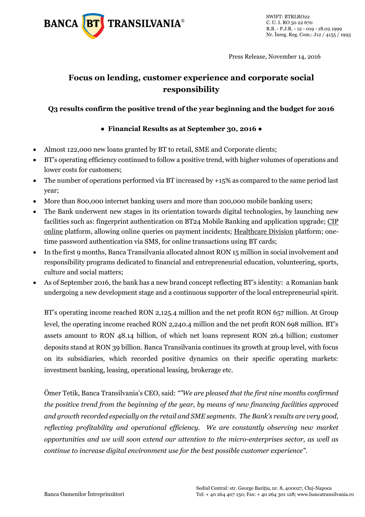

Press Release, November 14, 2016

# **Focus on lending, customer experience and corporate social responsibility**

### **Q3 results confirm the positive trend of the year beginning and the budget for 2016**

### **● Financial Results as at September 30, 2016 ●**

- Almost 122,000 new loans granted by BT to retail, SME and Corporate clients;
- BT's operating efficiency continued to follow a positive trend, with higher volumes of operations and lower costs for customers;
- The number of operations performed via BT increased by +15% as compared to the same period last year;
- More than 800,000 internet banking users and more than 200,000 mobile banking users;
- The Bank underwent new stages in its orientation towards digital technologies, by launching new facilities such as: fingerprint authentication on BT24 Mobile Banking and application upgrade; CIP online platform, allowing online queries on payment incidents; Healthcare Division platform; onetime password authentication via SMS, for online transactions using BT cards;
- In the first 9 months, Banca Transilvania allocated almost RON 15 million in social involvement and responsibility programs dedicated to financial and entrepreneurial education, volunteering, sports, culture and social matters;
- As of September 2016, the bank has a new brand concept reflecting BT's identity: a Romanian bank undergoing a new development stage and a continuous supporter of the local entrepreneurial spirit.

BT's operating income reached RON 2,125.4 million and the net profit RON 657 million. At Group level, the operating income reached RON 2,240.4 million and the net profit RON 698 million. BT's assets amount to RON 48.14 billion, of which net loans represent RON 26.4 billion; customer deposits stand at RON 39 billion. Banca Transilvania continues its growth at group level, with focus on its subsidiaries, which recorded positive dynamics on their specific operating markets: investment banking, leasing, operational leasing, brokerage etc.

Ömer Tetik, Banca Transilvania's CEO, said: *""We are pleased that the first nine months confirmed the positive trend from the beginning of the year, by means of new financing facilities approved and growth recorded especially on the retail and SME segments. The Bank's results are very good, reflecting profitability and operational efficiency. We are constantly observing new market opportunities and we will soon extend our attention to the micro-enterprises sector, as well as continue to increase digital environment use for the best possible customer experience".*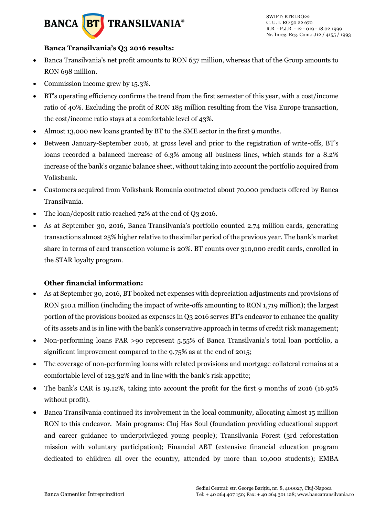# **BANCA BT** TRANSILVANIA®

#### **Banca Transilvania's Q3 2016 results:**

- Banca Transilvania's net profit amounts to RON 657 million, whereas that of the Group amounts to RON 698 million.
- Commission income grew by 15.3%.
- BT's operating efficiency confirms the trend from the first semester of this year, with a cost/income ratio of 40%. Excluding the profit of RON 185 million resulting from the Visa Europe transaction, the cost/income ratio stays at a comfortable level of 43%.
- Almost 13,000 new loans granted by BT to the SME sector in the first 9 months.
- Between January-September 2016, at gross level and prior to the registration of write-offs, BT's loans recorded a balanced increase of 6.3% among all business lines, which stands for a 8.2% increase of the bank's organic balance sheet, without taking into account the portfolio acquired from Volksbank.
- Customers acquired from Volksbank Romania contracted about 70,000 products offered by Banca Transilvania.
- The loan/deposit ratio reached 72% at the end of Q3 2016.
- As at September 30, 2016, Banca Transilvania's portfolio counted 2.74 million cards, generating transactions almost 25% higher relative to the similar period of the previous year. The bank's market share in terms of card transaction volume is 20%. BT counts over 310,000 credit cards, enrolled in the STAR loyalty program.

## **Other financial information:**

- As at September 30, 2016, BT booked net expenses with depreciation adjustments and provisions of RON 510.1 million (including the impact of write-offs amounting to RON 1,719 million); the largest portion of the provisions booked as expenses in Q3 2016 serves BT's endeavor to enhance the quality of its assets and is in line with the bank's conservative approach in terms of credit risk management;
- Non-performing loans PAR >90 represent 5.55% of Banca Transilvania's total loan portfolio, a significant improvement compared to the 9.75% as at the end of 2015;
- The coverage of non-performing loans with related provisions and mortgage collateral remains at a comfortable level of 123.32% and in line with the bank's risk appetite;
- The bank's CAR is 19.12%, taking into account the profit for the first 9 months of 2016 (16.91% without profit).
- Banca Transilvania continued its involvement in the local community, allocating almost 15 million RON to this endeavor. Main programs: Cluj Has Soul (foundation providing educational support and career guidance to underprivileged young people); Transilvania Forest (3rd reforestation mission with voluntary participation); Financial ABT (extensive financial education program dedicated to children all over the country, attended by more than 10,000 students); EMBA